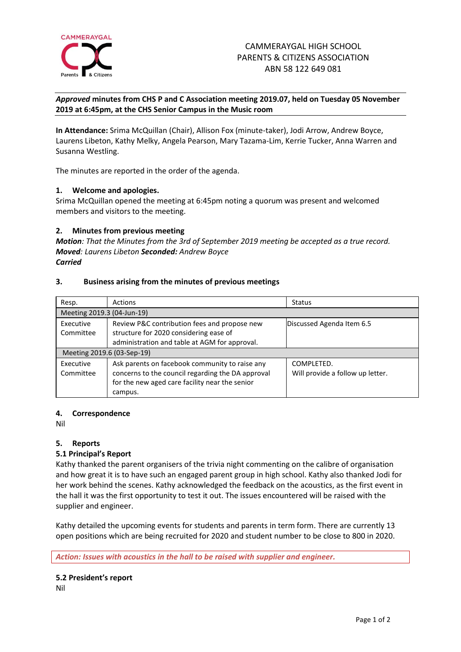

*Approved* **minutes from CHS P and C Association meeting 2019.07, held on Tuesday 05 November 2019 at 6:45pm, at the CHS Senior Campus in the Music room**

**In Attendance:** Srima McQuillan (Chair), Allison Fox (minute-taker), Jodi Arrow, Andrew Boyce, Laurens Libeton, Kathy Melky, Angela Pearson, Mary Tazama-Lim, Kerrie Tucker, Anna Warren and Susanna Westling.

The minutes are reported in the order of the agenda.

## **1. Welcome and apologies.**

Srima McQuillan opened the meeting at 6:45pm noting a quorum was present and welcomed members and visitors to the meeting.

## **2. Minutes from previous meeting**

*Motion: That the Minutes from the 3rd of September 2019 meeting be accepted as a true record. Moved: Laurens Libeton Seconded: Andrew Boyce Carried*

## **3. Business arising from the minutes of previous meetings**

| Resp.                      | Actions                                           | <b>Status</b>                    |
|----------------------------|---------------------------------------------------|----------------------------------|
| Meeting 2019.3 (04-Jun-19) |                                                   |                                  |
| Executive                  | Review P&C contribution fees and propose new      | Discussed Agenda Item 6.5        |
| Committee                  | structure for 2020 considering ease of            |                                  |
|                            | administration and table at AGM for approval.     |                                  |
| Meeting 2019.6 (03-Sep-19) |                                                   |                                  |
| Executive                  | Ask parents on facebook community to raise any    | COMPLETED.                       |
| Committee                  | concerns to the council regarding the DA approval | Will provide a follow up letter. |
|                            | for the new aged care facility near the senior    |                                  |
|                            | campus.                                           |                                  |

## **4. Correspondence**

Nil

## **5. Reports**

## **5.1 Principal's Report**

Kathy thanked the parent organisers of the trivia night commenting on the calibre of organisation and how great it is to have such an engaged parent group in high school. Kathy also thanked Jodi for her work behind the scenes. Kathy acknowledged the feedback on the acoustics, as the first event in the hall it was the first opportunity to test it out. The issues encountered will be raised with the supplier and engineer.

Kathy detailed the upcoming events for students and parents in term form. There are currently 13 open positions which are being recruited for 2020 and student number to be close to 800 in 2020.

*Action: Issues with acoustics in the hall to be raised with supplier and engineer.*

# **5.2 President's report**

Nil